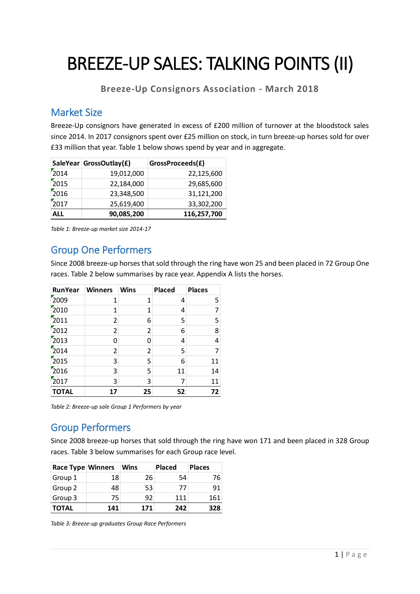# BREEZE-UP SALES: TALKING POINTS (II)

**Breeze-Up Consignors Association - March 2018**

#### Market Size

Breeze-Up consignors have generated in excess of £200 million of turnover at the bloodstock sales since 2014. In 2017 consignors spent over £25 million on stock, in turn breeze-up horses sold for over £33 million that year. Table 1 below shows spend by year and in aggregate.

|      | SaleYear GrossOutlay(£) | GrossProceeds(£) |
|------|-------------------------|------------------|
| 2014 | 19,012,000              | 22,125,600       |
| 2015 | 22,184,000              | 29,685,600       |
| 2016 | 23,348,500              | 31,121,200       |
| 2017 | 25,619,400              | 33,302,200       |
| ALL  | 90,085,200              | 116,257,700      |

*Table 1: Breeze-up market size 2014-17*

### Group One Performers

Since 2008 breeze-up horses that sold through the ring have won 25 and been placed in 72 Group One races. Table 2 below summarises by race year. Appendix A lists the horses.

| <b>RunYear</b> | <b>Winners</b> | <b>Wins</b> | <b>Placed</b> | <b>Places</b> |
|----------------|----------------|-------------|---------------|---------------|
| 2009           | 1              | 1           | 4             | 5             |
| 2010           | 1              | 1           | 4             | 7             |
| 2011           | 2              | 6           | 5             | 5             |
| 2012           | 2              | 2           | 6             | 8             |
| 2013           | 0              | 0           | 4             | 4             |
| 2014           | 2              | 2           | 5             |               |
| 2015           | 3              | 5           | 6             | 11            |
| 2016           | 3              | 5           | 11            | 14            |
| 2017           | 3              | 3           | 7             | 11            |
| <b>TOTAL</b>   | 17             | 25          | 52            | 72            |

*Table 2: Breeze-up sale Group 1 Performers by year*

## Group Performers

Since 2008 breeze-up horses that sold through the ring have won 171 and been placed in 328 Group races. Table 3 below summarises for each Group race level.

| Race Type Winners |     | Wins | <b>Placed</b> | <b>Places</b> |
|-------------------|-----|------|---------------|---------------|
| Group 1           | 18  | 26   | 54            | 76            |
| Group 2           | 48  | 53   | 77            | 91            |
| Group 3           | 75  | 92   | 111           | 161           |
| <b>TOTAL</b>      | 141 | 171  | 242           | 328           |

*Table 3: Breeze-up graduates Group Race Performers*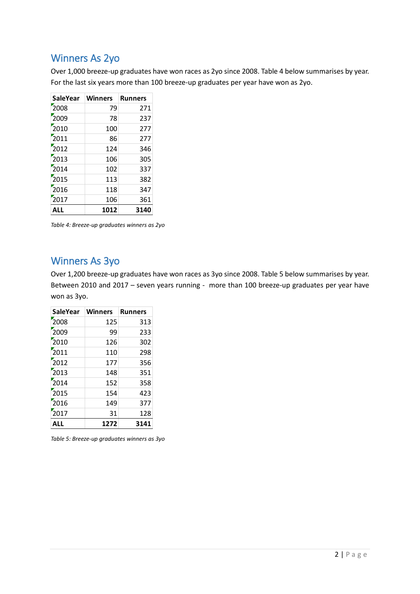#### Winners As 2yo

Over 1,000 breeze-up graduates have won races as 2yo since 2008. Table 4 below summarises by year. For the last six years more than 100 breeze-up graduates per year have won as 2yo.

| <b>SaleYear</b> | <b>Winners</b> | <b>Runners</b> |
|-----------------|----------------|----------------|
| 2008            | 79             | 271            |
| 2009            | 78             | 237            |
| 2010            | 100            | 277            |
| 2011            | 86             | 277            |
| 2012            | 124            | 346            |
| 2013            | 106            | 305            |
| 2014            | 102            | 337            |
| 2015            | 113            | 382            |
| 2016            | 118            | 347            |
| 2017            | 106            | 361            |
| ALL             | 1012           | 3140           |

*Table 4: Breeze-up graduates winners as 2yo*

#### Winners As 3yo

Over 1,200 breeze-up graduates have won races as 3yo since 2008. Table 5 below summarises by year. Between 2010 and 2017 – seven years running - more than 100 breeze-up graduates per year have won as 3yo.

| <b>SaleYear</b> | <b>Winners</b> | <b>Runners</b> |
|-----------------|----------------|----------------|
| 2008            | 125            | 313            |
| 2009            | 99             | 233            |
| 2010            | 126            | 302            |
| 2011            | 110            | 298            |
| 2012            | 177            | 356            |
| 2013            | 148            | 351            |
| 2014            | 152            | 358            |
| 2015            | 154            | 423            |
| 2016            | 149            | 377            |
| 2017            | 31             | 128            |
| ALL             | 1272           | 3141           |

*Table 5: Breeze-up graduates winners as 3yo*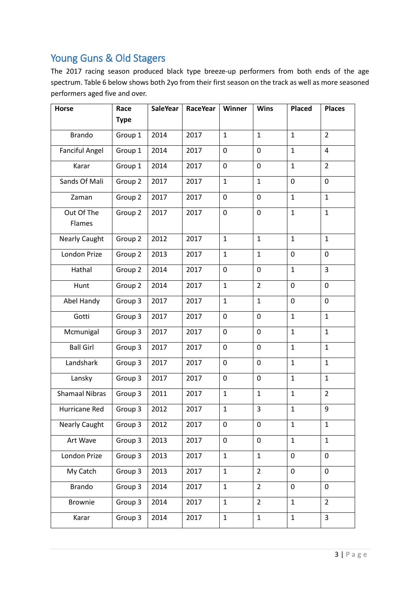# Young Guns & Old Stagers

The 2017 racing season produced black type breeze-up performers from both ends of the age spectrum. Table 6 below shows both 2yo from their first season on the track as well as more seasoned performers aged five and over.

| Horse                 | Race               | <b>SaleYear</b> | <b>RaceYear</b> | Winner       | <b>Wins</b>    | <b>Placed</b> | <b>Places</b>  |
|-----------------------|--------------------|-----------------|-----------------|--------------|----------------|---------------|----------------|
|                       | <b>Type</b>        |                 |                 |              |                |               |                |
| <b>Brando</b>         | Group 1            | 2014            | 2017            | $\mathbf{1}$ | $\mathbf{1}$   | $\mathbf{1}$  | $\overline{2}$ |
| <b>Fanciful Angel</b> | Group 1            | 2014            | 2017            | $\mathbf 0$  | 0              | $\mathbf{1}$  | $\overline{4}$ |
| Karar                 | Group 1            | 2014            | 2017            | $\mathbf 0$  | 0              | $\mathbf{1}$  | $\overline{2}$ |
| Sands Of Mali         | Group 2            | 2017            | 2017            | $\mathbf{1}$ | $\mathbf{1}$   | 0             | $\mathbf 0$    |
| Zaman                 | Group <sub>2</sub> | 2017            | 2017            | $\mathbf 0$  | 0              | $\mathbf{1}$  | $\mathbf{1}$   |
| Out Of The<br>Flames  | Group 2            | 2017            | 2017            | $\pmb{0}$    | 0              | $\mathbf{1}$  | $\mathbf{1}$   |
| <b>Nearly Caught</b>  | Group 2            | 2012            | 2017            | $\mathbf{1}$ | $\mathbf{1}$   | $\mathbf{1}$  | $\mathbf{1}$   |
| London Prize          | Group 2            | 2013            | 2017            | $\mathbf{1}$ | $\mathbf{1}$   | 0             | $\mathbf 0$    |
| Hathal                | Group 2            | 2014            | 2017            | 0            | 0              | $\mathbf{1}$  | 3              |
| Hunt                  | Group 2            | 2014            | 2017            | $\mathbf{1}$ | $\overline{2}$ | 0             | $\mathbf 0$    |
| Abel Handy            | Group 3            | 2017            | 2017            | $\mathbf 1$  | $\mathbf{1}$   | 0             | $\mathbf 0$    |
| Gotti                 | Group 3            | 2017            | 2017            | 0            | 0              | $\mathbf{1}$  | $\mathbf{1}$   |
| Mcmunigal             | Group 3            | 2017            | 2017            | $\mathbf 0$  | $\mathbf 0$    | $\mathbf{1}$  | $\mathbf{1}$   |
| <b>Ball Girl</b>      | Group 3            | 2017            | 2017            | $\mathbf 0$  | 0              | $\mathbf{1}$  | $\mathbf{1}$   |
| Landshark             | Group 3            | 2017            | 2017            | 0            | 0              | $\mathbf{1}$  | $\mathbf{1}$   |
| Lansky                | Group 3            | 2017            | 2017            | 0            | 0              | $\mathbf{1}$  | $\mathbf{1}$   |
| <b>Shamaal Nibras</b> | Group 3            | 2011            | 2017            | $\mathbf{1}$ | $\mathbf{1}$   | 1             | $\overline{2}$ |
| Hurricane Red         | Group 3            | 2012            | 2017            | $\mathbf 1$  | 3              | $\mathbf{1}$  | 9              |
| <b>Nearly Caught</b>  | Group 3            | 2012            | 2017            | $\mathbf 0$  | 0              | $\mathbf{1}$  | $\mathbf{1}$   |
| Art Wave              | Group 3            | 2013            | 2017            | $\pmb{0}$    | 0              | $\mathbf{1}$  | $\mathbf{1}$   |
| London Prize          | Group 3            | 2013            | 2017            | $\mathbf{1}$ | $\mathbf{1}$   | 0             | $\mathbf 0$    |
| My Catch              | Group 3            | 2013            | 2017            | $\mathbf{1}$ | $\overline{2}$ | 0             | $\mathbf 0$    |
| <b>Brando</b>         | Group 3            | 2014            | 2017            | $\mathbf{1}$ | $\overline{2}$ | 0             | $\mathbf 0$    |
| <b>Brownie</b>        | Group 3            | 2014            | 2017            | $\mathbf{1}$ | $\overline{2}$ | $\mathbf{1}$  | $\overline{2}$ |
| Karar                 | Group 3            | 2014            | 2017            | $\mathbf{1}$ | $\mathbf{1}$   | $\mathbf{1}$  | 3              |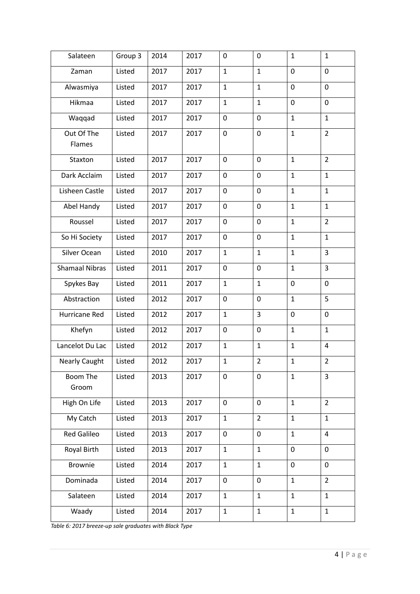| Salateen              | Group 3 | 2014 | 2017 | 0            | $\mathbf 0$    | $\mathbf{1}$ | $\mathbf 1$    |
|-----------------------|---------|------|------|--------------|----------------|--------------|----------------|
| Zaman                 | Listed  | 2017 | 2017 | $\mathbf{1}$ | $\mathbf{1}$   | 0            | $\mathbf 0$    |
| Alwasmiya             | Listed  | 2017 | 2017 | $\mathbf{1}$ | $\mathbf{1}$   | 0            | $\mathbf 0$    |
| Hikmaa                | Listed  | 2017 | 2017 | $\mathbf{1}$ | $\mathbf{1}$   | 0            | $\mathbf 0$    |
| Waqqad                | Listed  | 2017 | 2017 | $\mathbf 0$  | $\mathbf 0$    | $\mathbf{1}$ | $\mathbf{1}$   |
| Out Of The<br>Flames  | Listed  | 2017 | 2017 | $\mathbf 0$  | $\mathbf 0$    | $\mathbf{1}$ | $\overline{2}$ |
| Staxton               | Listed  | 2017 | 2017 | 0            | $\mathbf 0$    | $\mathbf{1}$ | $\overline{2}$ |
| Dark Acclaim          | Listed  | 2017 | 2017 | $\mathbf 0$  | $\mathbf 0$    | $\mathbf{1}$ | $\mathbf{1}$   |
| Lisheen Castle        | Listed  | 2017 | 2017 | 0            | 0              | $\mathbf{1}$ | $\mathbf{1}$   |
| Abel Handy            | Listed  | 2017 | 2017 | 0            | 0              | $\mathbf{1}$ | $\mathbf 1$    |
| Roussel               | Listed  | 2017 | 2017 | 0            | 0              | 1            | $\overline{2}$ |
| So Hi Society         | Listed  | 2017 | 2017 | 0            | $\mathbf 0$    | $\mathbf{1}$ | $\mathbf{1}$   |
| Silver Ocean          | Listed  | 2010 | 2017 | $\mathbf{1}$ | $\mathbf{1}$   | $\mathbf{1}$ | 3              |
| <b>Shamaal Nibras</b> | Listed  | 2011 | 2017 | $\mathbf 0$  | $\mathbf 0$    | $\mathbf{1}$ | 3              |
| Spykes Bay            | Listed  | 2011 | 2017 | $\mathbf{1}$ | $\mathbf{1}$   | 0            | $\mathbf 0$    |
| Abstraction           | Listed  | 2012 | 2017 | $\mathbf 0$  | 0              | $\mathbf{1}$ | 5              |
| Hurricane Red         | Listed  | 2012 | 2017 | $\mathbf{1}$ | 3              | 0            | 0              |
| Khefyn                | Listed  | 2012 | 2017 | 0            | $\mathbf 0$    | $\mathbf{1}$ | $\mathbf{1}$   |
| Lancelot Du Lac       | Listed  | 2012 | 2017 | $\mathbf{1}$ | $\mathbf{1}$   | $\mathbf{1}$ | $\overline{4}$ |
| <b>Nearly Caught</b>  | Listed  | 2012 | 2017 | $\mathbf{1}$ | $\overline{2}$ | $\mathbf{1}$ | $\overline{2}$ |
| Boom The<br>Groom     | Listed  | 2013 | 2017 | 0            | 0              | $\mathbf{1}$ | 3              |
| High On Life          | Listed  | 2013 | 2017 | $\mathbf 0$  | $\pmb{0}$      | $\mathbf{1}$ | $\overline{2}$ |
| My Catch              | Listed  | 2013 | 2017 | $\mathbf{1}$ | $\overline{2}$ | $\mathbf{1}$ | $\mathbf{1}$   |
| <b>Red Galileo</b>    | Listed  | 2013 | 2017 | $\mathbf 0$  | 0              | $\mathbf{1}$ | $\overline{4}$ |
| Royal Birth           | Listed  | 2013 | 2017 | $\mathbf{1}$ | $\mathbf{1}$   | 0            | $\pmb{0}$      |
| Brownie               | Listed  | 2014 | 2017 | $\mathbf{1}$ | $\mathbf{1}$   | 0            | $\pmb{0}$      |
| Dominada              | Listed  | 2014 | 2017 | 0            | $\pmb{0}$      | $\mathbf{1}$ | $\overline{2}$ |
| Salateen              | Listed  | 2014 | 2017 | $\mathbf{1}$ | $\mathbf{1}$   | $\mathbf{1}$ | $\mathbf{1}$   |
| Waady                 | Listed  | 2014 | 2017 | $\mathbf{1}$ | $\mathbf{1}$   | $\mathbf{1}$ | $\mathbf{1}$   |

*Table 6: 2017 breeze-up sale graduates with Black Type*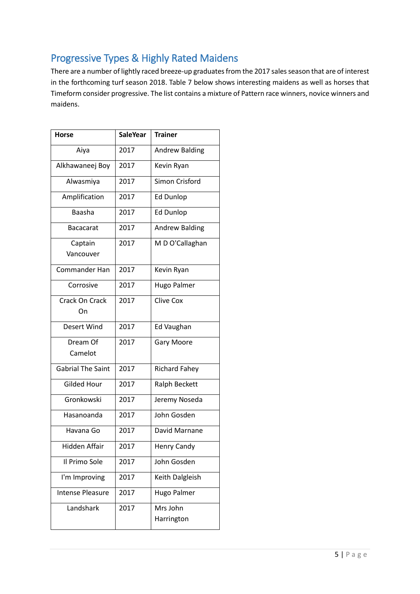# Progressive Types & Highly Rated Maidens

There are a number of lightly raced breeze-up graduates from the 2017 sales season that are of interest in the forthcoming turf season 2018. Table 7 below shows interesting maidens as well as horses that Timeform consider progressive. The list contains a mixture of Pattern race winners, novice winners and maidens.

| <b>Horse</b>             | <b>SaleYear</b> | <b>Trainer</b>         |
|--------------------------|-----------------|------------------------|
| Aiya                     | 2017            | <b>Andrew Balding</b>  |
| Alkhawaneej Boy          | 2017            | Kevin Ryan             |
| Alwasmiya                | 2017            | Simon Crisford         |
| Amplification            | 2017            | <b>Ed Dunlop</b>       |
| <b>Baasha</b>            | 2017            | <b>Ed Dunlop</b>       |
| <b>Bacacarat</b>         | 2017            | <b>Andrew Balding</b>  |
| Captain<br>Vancouver     | 2017            | M D O'Callaghan        |
| <b>Commander Han</b>     | 2017            | Kevin Ryan             |
| Corrosive                | 2017            | Hugo Palmer            |
| Crack On Crack<br>On     | 2017            | <b>Clive Cox</b>       |
| Desert Wind              | 2017            | Ed Vaughan             |
| Dream Of<br>Camelot      | 2017            | <b>Gary Moore</b>      |
| <b>Gabrial The Saint</b> | 2017            | <b>Richard Fahey</b>   |
| <b>Gilded Hour</b>       | 2017            | Ralph Beckett          |
| Gronkowski               | 2017            | Jeremy Noseda          |
| Hasanoanda               | 2017            | John Gosden            |
| Havana Go                | 2017            | David Marnane          |
| Hidden Affair            | 2017            | <b>Henry Candy</b>     |
| Il Primo Sole            | 2017            | John Gosden            |
| I'm Improving            | 2017            | Keith Dalgleish        |
| <b>Intense Pleasure</b>  | 2017            | Hugo Palmer            |
| Landshark                | 2017            | Mrs John<br>Harrington |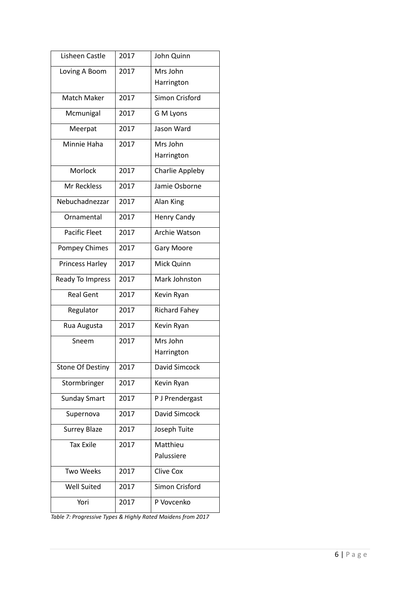| Lisheen Castle          | 2017 | John Quinn           |
|-------------------------|------|----------------------|
| Loving A Boom           | 2017 | Mrs John             |
|                         |      | Harrington           |
| Match Maker             | 2017 | Simon Crisford       |
| Mcmunigal               | 2017 | G M Lyons            |
| Meerpat                 | 2017 | Jason Ward           |
| Minnie Haha             | 2017 | Mrs John             |
|                         |      | Harrington           |
| Morlock                 | 2017 | Charlie Appleby      |
| Mr Reckless             | 2017 | Jamie Osborne        |
| Nebuchadnezzar          | 2017 | Alan King            |
| Ornamental              | 2017 | Henry Candy          |
| <b>Pacific Fleet</b>    | 2017 | <b>Archie Watson</b> |
| Pompey Chimes           | 2017 | <b>Gary Moore</b>    |
| <b>Princess Harley</b>  | 2017 | Mick Quinn           |
| Ready To Impress        | 2017 | Mark Johnston        |
| <b>Real Gent</b>        | 2017 | Kevin Ryan           |
| Regulator               | 2017 | <b>Richard Fahey</b> |
| Rua Augusta             | 2017 | Kevin Ryan           |
| Sneem                   | 2017 | Mrs John             |
|                         |      | Harrington           |
| <b>Stone Of Destiny</b> | 2017 | David Simcock        |
| Stormbringer            | 2017 | Kevin Ryan           |
| <b>Sunday Smart</b>     | 2017 | P J Prendergast      |
| Supernova               | 2017 | David Simcock        |
| <b>Surrey Blaze</b>     | 2017 | Joseph Tuite         |
| <b>Tax Exile</b>        | 2017 | Matthieu             |
|                         |      | Palussiere           |
| <b>Two Weeks</b>        | 2017 | <b>Clive Cox</b>     |
| <b>Well Suited</b>      | 2017 | Simon Crisford       |
| Yori                    | 2017 | P Vovcenko           |

*Table 7: Progressive Types & Highly Rated Maidens from 2017*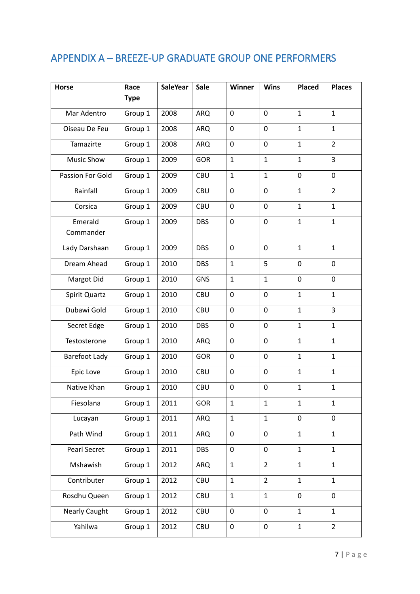## APPENDIX A – BREEZE-UP GRADUATE GROUP ONE PERFORMERS

| <b>Horse</b>         | Race        | <b>SaleYear</b> | <b>Sale</b> | Winner           | <b>Wins</b>    | Placed       | <b>Places</b>  |
|----------------------|-------------|-----------------|-------------|------------------|----------------|--------------|----------------|
|                      | <b>Type</b> |                 |             |                  |                |              |                |
| Mar Adentro          | Group 1     | 2008            | <b>ARQ</b>  | 0                | 0              | $\mathbf{1}$ | $\mathbf{1}$   |
| Oiseau De Feu        | Group 1     | 2008            | <b>ARQ</b>  | 0                | 0              | $\mathbf{1}$ | $\mathbf{1}$   |
| Tamazirte            | Group 1     | 2008            | <b>ARQ</b>  | 0                | 0              | $\mathbf 1$  | $\overline{2}$ |
| <b>Music Show</b>    | Group 1     | 2009            | <b>GOR</b>  | $\mathbf{1}$     | $\mathbf{1}$   | $\mathbf{1}$ | 3              |
| Passion For Gold     | Group 1     | 2009            | <b>CBU</b>  | $\mathbf{1}$     | $\mathbf{1}$   | $\mathbf 0$  | 0              |
| Rainfall             | Group 1     | 2009            | <b>CBU</b>  | $\mathbf 0$      | $\overline{0}$ | $\mathbf{1}$ | $\overline{2}$ |
| Corsica              | Group 1     | 2009            | <b>CBU</b>  | 0                | 0              | $\mathbf{1}$ | $\mathbf{1}$   |
| Emerald<br>Commander | Group 1     | 2009            | <b>DBS</b>  | $\boldsymbol{0}$ | 0              | $\mathbf{1}$ | $\mathbf{1}$   |
| Lady Darshaan        | Group 1     | 2009            | <b>DBS</b>  | 0                | 0              | $\mathbf{1}$ | $\mathbf{1}$   |
| Dream Ahead          | Group 1     | 2010            | <b>DBS</b>  | $\mathbf{1}$     | 5              | $\mathbf 0$  | 0              |
| Margot Did           | Group 1     | 2010            | <b>GNS</b>  | $\mathbf{1}$     | $\mathbf{1}$   | $\mathbf 0$  | 0              |
| Spirit Quartz        | Group 1     | 2010            | <b>CBU</b>  | 0                | 0              | $\mathbf{1}$ | $\mathbf{1}$   |
| Dubawi Gold          | Group 1     | 2010            | <b>CBU</b>  | 0                | 0              | $\mathbf{1}$ | 3              |
| Secret Edge          | Group 1     | 2010            | <b>DBS</b>  | $\mathbf 0$      | 0              | $\mathbf{1}$ | $\mathbf{1}$   |
| Testosterone         | Group 1     | 2010            | <b>ARQ</b>  | $\mathbf 0$      | 0              | $\mathbf{1}$ | $\mathbf{1}$   |
| Barefoot Lady        | Group 1     | 2010            | <b>GOR</b>  | 0                | 0              | $\mathbf{1}$ | $\mathbf{1}$   |
| Epic Love            | Group 1     | 2010            | <b>CBU</b>  | 0                | 0              | $\mathbf{1}$ | $\mathbf{1}$   |
| Native Khan          | Group 1     | 2010            | <b>CBU</b>  | $\mathbf 0$      | 0              | $\mathbf{1}$ | $\mathbf{1}$   |
| Fiesolana            | Group 1     | 2011            | <b>GOR</b>  | $\mathbf{1}$     | $\mathbf{1}$   | $\mathbf{1}$ | $\mathbf{1}$   |
| Lucayan              | Group 1     | 2011            | <b>ARQ</b>  | $\mathbf{1}$     | $\mathbf{1}$   | $\pmb{0}$    | 0              |
| Path Wind            | Group 1     | 2011            | ARQ         | $\mathbf 0$      | 0              | $\mathbf{1}$ | $\mathbf{1}$   |
| Pearl Secret         | Group 1     | 2011            | <b>DBS</b>  | $\mathbf 0$      | 0              | $\mathbf{1}$ | $\mathbf{1}$   |
| Mshawish             | Group 1     | 2012            | ARQ         | $\mathbf{1}$     | $\overline{2}$ | $\mathbf{1}$ | $\mathbf{1}$   |
| Contributer          | Group 1     | 2012            | CBU         | $\mathbf{1}$     | $\overline{2}$ | $\mathbf{1}$ | $\mathbf{1}$   |
| Rosdhu Queen         | Group 1     | 2012            | <b>CBU</b>  | $\mathbf{1}$     | $\mathbf{1}$   | $\mathbf 0$  | 0              |
| <b>Nearly Caught</b> | Group 1     | 2012            | CBU         | 0                | 0              | $\mathbf{1}$ | $\mathbf{1}$   |
| Yahilwa              | Group 1     | 2012            | CBU         | 0                | 0              | $\mathbf{1}$ | $\overline{2}$ |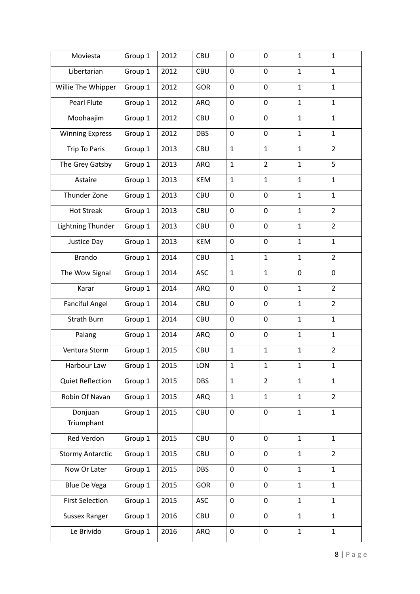| Moviesta                 | Group 1 | 2012 | <b>CBU</b> | 0            | 0              | $\mathbf{1}$ | $\mathbf{1}$   |
|--------------------------|---------|------|------------|--------------|----------------|--------------|----------------|
| Libertarian              | Group 1 | 2012 | <b>CBU</b> | 0            | 0              | $\mathbf{1}$ | $\mathbf{1}$   |
| Willie The Whipper       | Group 1 | 2012 | <b>GOR</b> | 0            | 0              | $\mathbf{1}$ | $\mathbf{1}$   |
| Pearl Flute              | Group 1 | 2012 | <b>ARQ</b> | 0            | 0              | $\mathbf{1}$ | $\mathbf{1}$   |
| Moohaajim                | Group 1 | 2012 | <b>CBU</b> | 0            | 0              | $\mathbf{1}$ | $\mathbf{1}$   |
| <b>Winning Express</b>   | Group 1 | 2012 | <b>DBS</b> | 0            | 0              | $\mathbf{1}$ | $\mathbf{1}$   |
| Trip To Paris            | Group 1 | 2013 | <b>CBU</b> | $\mathbf{1}$ | $\mathbf{1}$   | $\mathbf{1}$ | $\overline{2}$ |
| The Grey Gatsby          | Group 1 | 2013 | <b>ARQ</b> | $\mathbf{1}$ | $\overline{2}$ | $\mathbf{1}$ | 5              |
| Astaire                  | Group 1 | 2013 | <b>KEM</b> | $\mathbf{1}$ | $\mathbf{1}$   | $\mathbf{1}$ | $\mathbf{1}$   |
| Thunder Zone             | Group 1 | 2013 | <b>CBU</b> | 0            | 0              | $\mathbf{1}$ | $\mathbf{1}$   |
| <b>Hot Streak</b>        | Group 1 | 2013 | CBU        | $\mathbf 0$  | $\mathbf 0$    | $\mathbf{1}$ | $\overline{2}$ |
| <b>Lightning Thunder</b> | Group 1 | 2013 | <b>CBU</b> | 0            | 0              | $\mathbf{1}$ | $\overline{2}$ |
| Justice Day              | Group 1 | 2013 | <b>KEM</b> | 0            | 0              | $\mathbf{1}$ | $\mathbf{1}$   |
| <b>Brando</b>            | Group 1 | 2014 | <b>CBU</b> | $\mathbf{1}$ | $\mathbf{1}$   | $\mathbf{1}$ | $\overline{2}$ |
| The Wow Signal           | Group 1 | 2014 | <b>ASC</b> | $\mathbf{1}$ | $\mathbf{1}$   | $\mathbf 0$  | $\mathbf 0$    |
| Karar                    | Group 1 | 2014 | <b>ARQ</b> | 0            | 0              | $\mathbf{1}$ | $\overline{2}$ |
| <b>Fanciful Angel</b>    | Group 1 | 2014 | CBU        | $\mathbf 0$  | $\mathbf 0$    | $\mathbf{1}$ | $\overline{2}$ |
| <b>Strath Burn</b>       | Group 1 | 2014 | CBU        | $\mathbf 0$  | 0              | $\mathbf{1}$ | $\mathbf{1}$   |
| Palang                   | Group 1 | 2014 | <b>ARQ</b> | 0            | 0              | $\mathbf{1}$ | $\mathbf{1}$   |
| Ventura Storm            | Group 1 | 2015 | <b>CBU</b> | $\mathbf{1}$ | $\mathbf{1}$   | $\mathbf{1}$ | $\overline{2}$ |
| Harbour Law              | Group 1 | 2015 | LON        | $\mathbf{1}$ | $\mathbf{1}$   | $\mathbf{1}$ | $\mathbf{1}$   |
| <b>Quiet Reflection</b>  | Group 1 | 2015 | <b>DBS</b> | $\mathbf{1}$ | $\overline{2}$ | $\mathbf{1}$ | $\mathbf{1}$   |
| Robin Of Navan           | Group 1 | 2015 | <b>ARQ</b> | $\mathbf{1}$ | $\mathbf{1}$   | $\mathbf{1}$ | $\overline{2}$ |
| Donjuan<br>Triumphant    | Group 1 | 2015 | CBU        | $\pmb{0}$    | $\mathbf 0$    | $\mathbf{1}$ | $\mathbf{1}$   |
| Red Verdon               | Group 1 | 2015 | <b>CBU</b> | 0            | 0              | $\mathbf{1}$ | $\mathbf{1}$   |
| <b>Stormy Antarctic</b>  | Group 1 | 2015 | CBU        | $\mathbf 0$  | $\mathbf 0$    | $\mathbf{1}$ | $\overline{2}$ |
| Now Or Later             | Group 1 | 2015 | <b>DBS</b> | 0            | 0              | $\mathbf{1}$ | $\mathbf{1}$   |
| Blue De Vega             | Group 1 | 2015 | <b>GOR</b> | 0            | 0              | $\mathbf{1}$ | $\mathbf{1}$   |
| <b>First Selection</b>   | Group 1 | 2015 | <b>ASC</b> | $\mathbf 0$  | 0              | $\mathbf{1}$ | $\mathbf{1}$   |
| <b>Sussex Ranger</b>     | Group 1 | 2016 | CBU        | 0            | 0              | $\mathbf{1}$ | $\mathbf{1}$   |
| Le Brivido               | Group 1 | 2016 | <b>ARQ</b> | $\pmb{0}$    | 0              | $\mathbf{1}$ | $\mathbf{1}$   |
|                          |         |      |            |              |                |              |                |